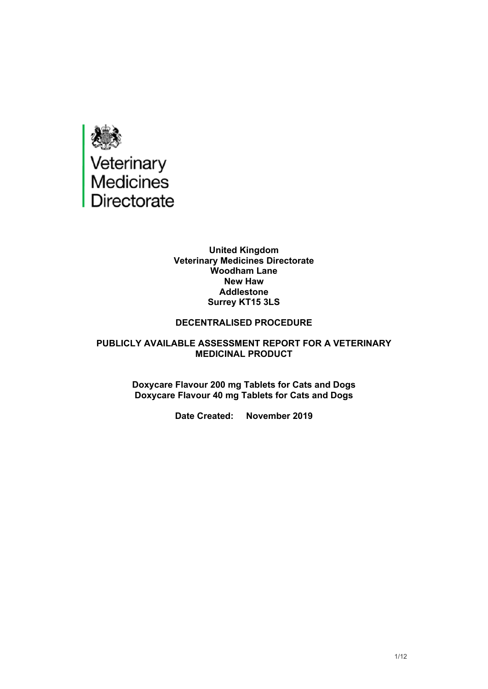

#### **United Kingdom Veterinary Medicines Directorate Woodham Lane New Haw Addlestone Surrey KT15 3LS**

#### **DECENTRALISED PROCEDURE**

#### **PUBLICLY AVAILABLE ASSESSMENT REPORT FOR A VETERINARY MEDICINAL PRODUCT**

**Doxycare Flavour 200 mg Tablets for Cats and Dogs Doxycare Flavour 40 mg Tablets for Cats and Dogs**

**Date Created: November 2019**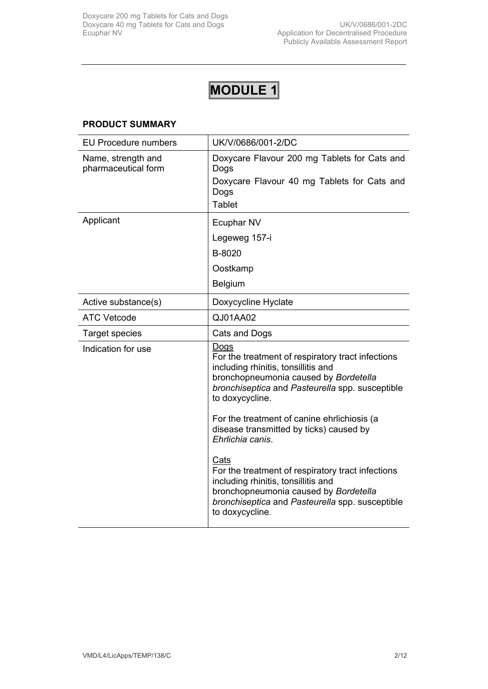## **PRODUCT SUMMARY**

| <b>EU Procedure numbers</b>               | UK/V/0686/001-2/DC                                                                                                                                                                                              |
|-------------------------------------------|-----------------------------------------------------------------------------------------------------------------------------------------------------------------------------------------------------------------|
| Name, strength and<br>pharmaceutical form | Doxycare Flavour 200 mg Tablets for Cats and<br>Dogs<br>Doxycare Flavour 40 mg Tablets for Cats and<br>Dogs<br><b>Tablet</b>                                                                                    |
| Applicant                                 | Ecuphar NV                                                                                                                                                                                                      |
|                                           | Legeweg 157-i                                                                                                                                                                                                   |
|                                           | B-8020                                                                                                                                                                                                          |
|                                           | Oostkamp                                                                                                                                                                                                        |
|                                           | Belgium                                                                                                                                                                                                         |
| Active substance(s)                       | Doxycycline Hyclate                                                                                                                                                                                             |
| <b>ATC Vetcode</b>                        | QJ01AA02                                                                                                                                                                                                        |
| <b>Target species</b>                     | Cats and Dogs                                                                                                                                                                                                   |
| Indication for use                        | Dogs<br>For the treatment of respiratory tract infections<br>including rhinitis, tonsillitis and<br>bronchopneumonia caused by Bordetella<br>bronchiseptica and Pasteurella spp. susceptible<br>to doxycycline. |
|                                           | For the treatment of canine ehrlichiosis (a<br>disease transmitted by ticks) caused by<br>Ehrlichia canis.                                                                                                      |
|                                           | Cats<br>For the treatment of respiratory tract infections<br>including rhinitis, tonsillitis and<br>bronchopneumonia caused by Bordetella<br>bronchiseptica and Pasteurella spp. susceptible<br>to doxycycline. |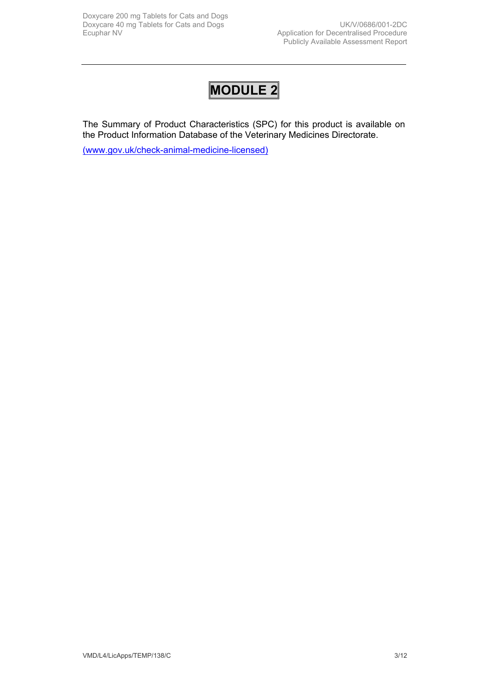The Summary of Product Characteristics (SPC) for this product is available on the Product Information Database of the Veterinary Medicines Directorate.

[\(www.gov.uk/check-animal-medicine-licensed\)](https://www.gov.uk/check-animal-medicine-licensed)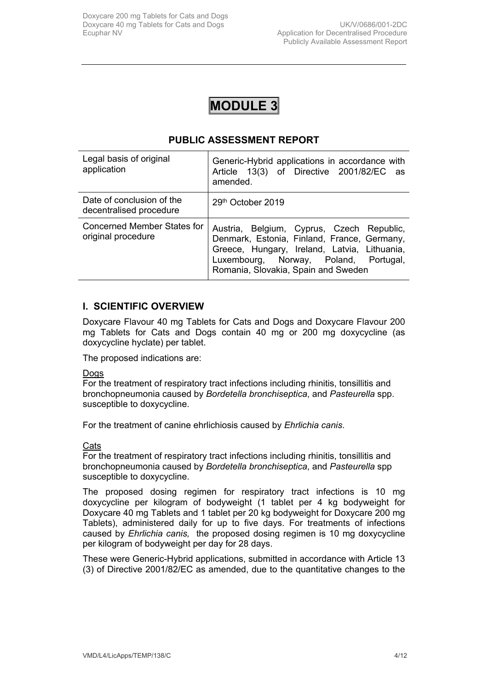## **PUBLIC ASSESSMENT REPORT**

| Legal basis of original<br>application               | Generic-Hybrid applications in accordance with<br>Article 13(3) of Directive 2001/82/EC as<br>amended.                                                                                                                   |
|------------------------------------------------------|--------------------------------------------------------------------------------------------------------------------------------------------------------------------------------------------------------------------------|
| Date of conclusion of the<br>decentralised procedure | 29th October 2019                                                                                                                                                                                                        |
| Concerned Member States for<br>original procedure    | Austria, Belgium, Cyprus, Czech Republic,<br>Denmark, Estonia, Finland, France, Germany,<br>Greece, Hungary, Ireland, Latvia, Lithuania,<br>Luxembourg, Norway, Poland, Portugal,<br>Romania, Slovakia, Spain and Sweden |

## **I. SCIENTIFIC OVERVIEW**

Doxycare Flavour 40 mg Tablets for Cats and Dogs and Doxycare Flavour 200 mg Tablets for Cats and Dogs contain 40 mg or 200 mg doxycycline (as doxycycline hyclate) per tablet.

The proposed indications are:

Dogs

For the treatment of respiratory tract infections including rhinitis, tonsillitis and bronchopneumonia caused by *Bordetella bronchiseptica*, and *Pasteurella* spp. susceptible to doxycycline.

For the treatment of canine ehrlichiosis caused by *Ehrlichia canis*.

#### **Cats**

For the treatment of respiratory tract infections including rhinitis, tonsillitis and bronchopneumonia caused by *Bordetella bronchiseptica*, and *Pasteurella* spp susceptible to doxycycline.

The proposed dosing regimen for respiratory tract infections is 10 mg doxycycline per kilogram of bodyweight (1 tablet per 4 kg bodyweight for Doxycare 40 mg Tablets and 1 tablet per 20 kg bodyweight for Doxycare 200 mg Tablets), administered daily for up to five days. For treatments of infections caused by *Ehrlichia canis,* the proposed dosing regimen is 10 mg doxycycline per kilogram of bodyweight per day for 28 days.

These were Generic-Hybrid applications, submitted in accordance with Article 13 (3) of Directive 2001/82/EC as amended, due to the quantitative changes to the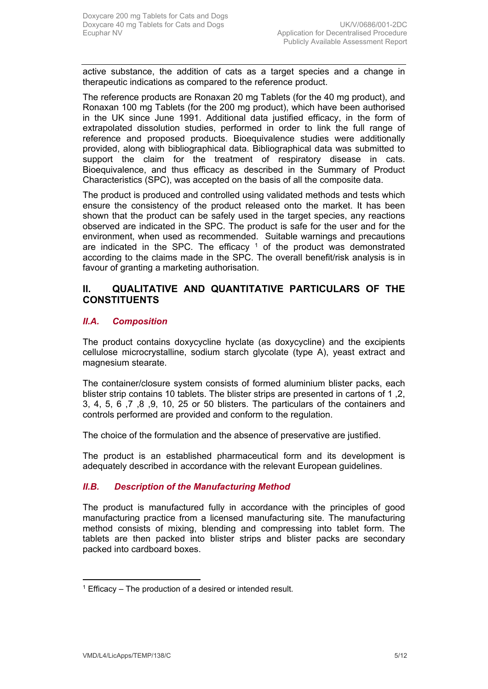active substance, the addition of cats as a target species and a change in therapeutic indications as compared to the reference product.

The reference products are Ronaxan 20 mg Tablets (for the 40 mg product), and Ronaxan 100 mg Tablets (for the 200 mg product), which have been authorised in the UK since June 1991. Additional data justified efficacy, in the form of extrapolated dissolution studies, performed in order to link the full range of reference and proposed products. Bioequivalence studies were additionally provided, along with bibliographical data. Bibliographical data was submitted to support the claim for the treatment of respiratory disease in cats. Bioequivalence, and thus efficacy as described in the Summary of Product Characteristics (SPC), was accepted on the basis of all the composite data.

The product is produced and controlled using validated methods and tests which ensure the consistency of the product released onto the market. It has been shown that the product can be safely used in the target species, any reactions observed are indicated in the SPC. The product is safe for the user and for the environment, when used as recommended. Suitable warnings and precautions are indicated in the SPC. The efficacy  $1$  of the product was demonstrated according to the claims made in the SPC. The overall benefit/risk analysis is in favour of granting a marketing authorisation.

## **II. QUALITATIVE AND QUANTITATIVE PARTICULARS OF THE CONSTITUENTS**

## *II.A. Composition*

The product contains doxycycline hyclate (as doxycycline) and the excipients cellulose microcrystalline, sodium starch glycolate (type A), yeast extract and magnesium stearate.

The container/closure system consists of formed aluminium blister packs, each blister strip contains 10 tablets. The blister strips are presented in cartons of 1 ,2, 3, 4, 5, 6 ,7 ,8 ,9, 10, 25 or 50 blisters. The particulars of the containers and controls performed are provided and conform to the regulation.

The choice of the formulation and the absence of preservative are justified.

The product is an established pharmaceutical form and its development is adequately described in accordance with the relevant European guidelines.

## *II.B. Description of the Manufacturing Method*

The product is manufactured fully in accordance with the principles of good manufacturing practice from a licensed manufacturing site*.* The manufacturing method consists of mixing, blending and compressing into tablet form. The tablets are then packed into blister strips and blister packs are secondary packed into cardboard boxes.

<sup>&</sup>lt;sup>1</sup> Efficacy – The production of a desired or intended result.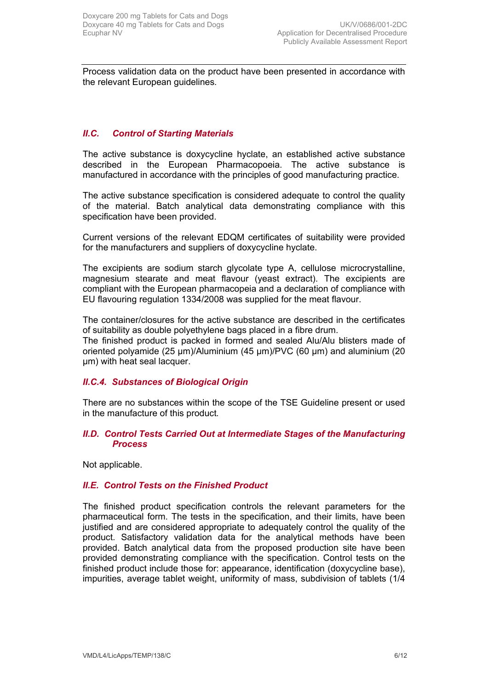Process validation data on the product have been presented in accordance with the relevant European guidelines*.* 

## *II.C. Control of Starting Materials*

The active substance is doxycycline hyclate, an established active substance described in the European Pharmacopoeia. The active substance is manufactured in accordance with the principles of good manufacturing practice.

The active substance specification is considered adequate to control the quality of the material. Batch analytical data demonstrating compliance with this specification have been provided.

Current versions of the relevant EDQM certificates of suitability were provided for the manufacturers and suppliers of doxycycline hyclate.

The excipients are sodium starch glycolate type A, cellulose microcrystalline, magnesium stearate and meat flavour (yeast extract). The excipients are compliant with the European pharmacopeia and a declaration of compliance with EU flavouring regulation 1334/2008 was supplied for the meat flavour.

The container/closures for the active substance are described in the certificates of suitability as double polyethylene bags placed in a fibre drum.

The finished product is packed in formed and sealed Alu/Alu blisters made of oriented polyamide (25 µm)/Aluminium (45 µm)/PVC (60 µm) and aluminium (20 µm) with heat seal lacquer.

#### *II.C.4. Substances of Biological Origin*

There are no substances within the scope of the TSE Guideline present or used in the manufacture of this product*.*

#### *II.D. Control Tests Carried Out at Intermediate Stages of the Manufacturing Process*

Not applicable.

#### *II.E. Control Tests on the Finished Product*

The finished product specification controls the relevant parameters for the pharmaceutical form. The tests in the specification, and their limits, have been justified and are considered appropriate to adequately control the quality of the product. Satisfactory validation data for the analytical methods have been provided. Batch analytical data from the proposed production site have been provided demonstrating compliance with the specification. Control tests on the finished product include those for: appearance, identification (doxycycline base), impurities, average tablet weight, uniformity of mass, subdivision of tablets (1/4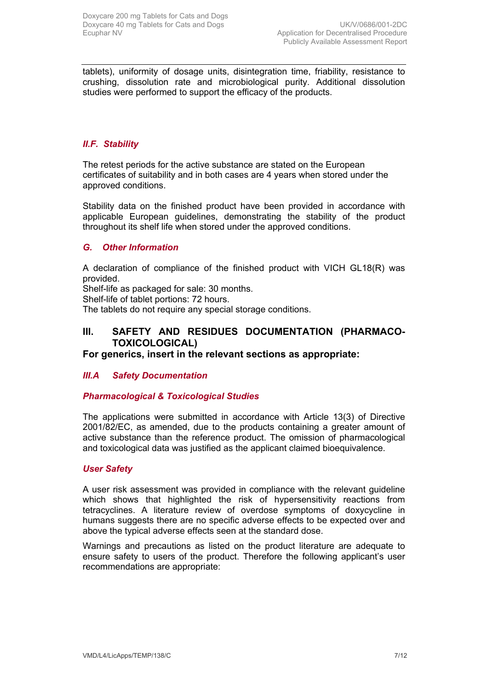tablets), uniformity of dosage units, disintegration time, friability, resistance to crushing, dissolution rate and microbiological purity. Additional dissolution studies were performed to support the efficacy of the products.

## *II.F. Stability*

The retest periods for the active substance are stated on the European certificates of suitability and in both cases are 4 years when stored under the approved conditions.

Stability data on the finished product have been provided in accordance with applicable European guidelines, demonstrating the stability of the product throughout its shelf life when stored under the approved conditions.

#### *G. Other Information*

A declaration of compliance of the finished product with VICH GL18(R) was provided.

Shelf-life as packaged for sale: 30 months.

Shelf-life of tablet portions: 72 hours.

The tablets do not require any special storage conditions.

## **III. SAFETY AND RESIDUES DOCUMENTATION (PHARMACO-TOXICOLOGICAL)**

**For generics, insert in the relevant sections as appropriate:**

#### *III.A Safety Documentation*

#### *Pharmacological & Toxicological Studies*

The applications were submitted in accordance with Article 13(3) of Directive 2001/82/EC, as amended, due to the products containing a greater amount of active substance than the reference product. The omission of pharmacological and toxicological data was justified as the applicant claimed bioequivalence.

#### *User Safety*

A user risk assessment was provided in compliance with the relevant guideline which shows that highlighted the risk of hypersensitivity reactions from tetracyclines. A literature review of overdose symptoms of doxycycline in humans suggests there are no specific adverse effects to be expected over and above the typical adverse effects seen at the standard dose.

Warnings and precautions as listed on the product literature are adequate to ensure safety to users of the product. Therefore the following applicant's user recommendations are appropriate: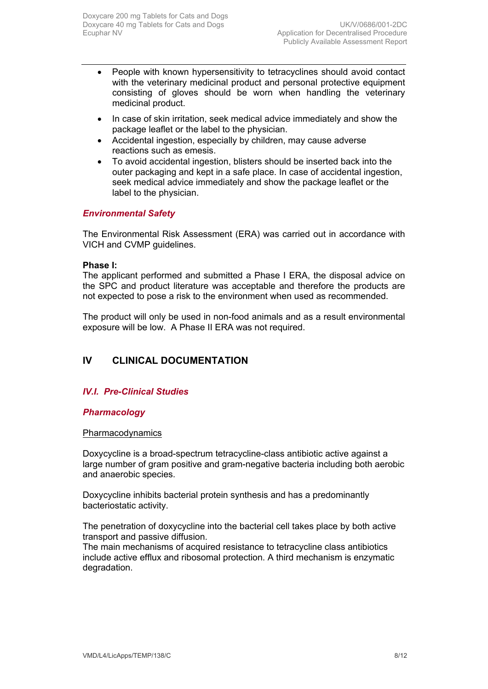- People with known hypersensitivity to tetracyclines should avoid contact with the veterinary medicinal product and personal protective equipment consisting of gloves should be worn when handling the veterinary medicinal product.
- In case of skin irritation, seek medical advice immediately and show the package leaflet or the label to the physician.
- Accidental ingestion, especially by children, may cause adverse reactions such as emesis.
- To avoid accidental ingestion, blisters should be inserted back into the outer packaging and kept in a safe place. In case of accidental ingestion, seek medical advice immediately and show the package leaflet or the label to the physician.

## *Environmental Safety*

The Environmental Risk Assessment (ERA) was carried out in accordance with VICH and CVMP guidelines.

#### **Phase I:**

The applicant performed and submitted a Phase I ERA, the disposal advice on the SPC and product literature was acceptable and therefore the products are not expected to pose a risk to the environment when used as recommended.

The product will only be used in non-food animals and as a result environmental exposure will be low. A Phase II ERA was not required.

## **IV CLINICAL DOCUMENTATION**

#### *IV.I. Pre-Clinical Studies*

#### *Pharmacology*

#### **Pharmacodynamics**

Doxycycline is a broad-spectrum tetracycline-class antibiotic active against a large number of gram positive and gram-negative bacteria including both aerobic and anaerobic species.

Doxycycline inhibits bacterial protein synthesis and has a predominantly bacteriostatic activity.

The penetration of doxycycline into the bacterial cell takes place by both active transport and passive diffusion.

The main mechanisms of acquired resistance to tetracycline class antibiotics include active efflux and ribosomal protection. A third mechanism is enzymatic degradation.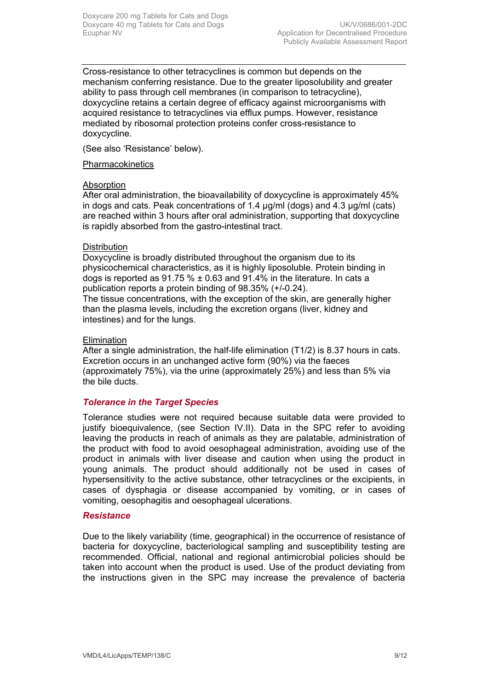Cross-resistance to other tetracyclines is common but depends on the mechanism conferring resistance. Due to the greater liposolubility and greater ability to pass through cell membranes (in comparison to tetracycline), doxycycline retains a certain degree of efficacy against microorganisms with acquired resistance to tetracyclines via efflux pumps. However, resistance mediated by ribosomal protection proteins confer cross-resistance to doxycycline.

(See also 'Resistance' below).

#### **Pharmacokinetics**

#### **Absorption**

After oral administration, the bioavailability of doxycycline is approximately 45% in dogs and cats. Peak concentrations of 1.4 μg/ml (dogs) and 4.3 μg/ml (cats) are reached within 3 hours after oral administration, supporting that doxycycline is rapidly absorbed from the gastro-intestinal tract.

#### **Distribution**

Doxycycline is broadly distributed throughout the organism due to its physicochemical characteristics, as it is highly liposoluble. Protein binding in dogs is reported as  $91.75\% \pm 0.63$  and  $91.4\%$  in the literature. In cats a publication reports a protein binding of 98.35% (+/-0.24).

The tissue concentrations, with the exception of the skin, are generally higher than the plasma levels, including the excretion organs (liver, kidney and intestines) and for the lungs.

#### Elimination

After a single administration, the half-life elimination (T1/2) is 8.37 hours in cats. Excretion occurs in an unchanged active form (90%) via the faeces (approximately 75%), via the urine (approximately 25%) and less than 5% via the bile ducts.

#### *Tolerance in the Target Species*

Tolerance studies were not required because suitable data were provided to justify bioequivalence, (see Section IV.II). Data in the SPC refer to avoiding leaving the products in reach of animals as they are palatable, administration of the product with food to avoid oesophageal administration, avoiding use of the product in animals with liver disease and caution when using the product in young animals. The product should additionally not be used in cases of hypersensitivity to the active substance, other tetracyclines or the excipients, in cases of dysphagia or disease accompanied by vomiting, or in cases of vomiting, oesophagitis and oesophageal ulcerations.

#### *Resistance*

Due to the likely variability (time, geographical) in the occurrence of resistance of bacteria for doxycycline, bacteriological sampling and susceptibility testing are recommended. Official, national and regional antimicrobial policies should be taken into account when the product is used. Use of the product deviating from the instructions given in the SPC may increase the prevalence of bacteria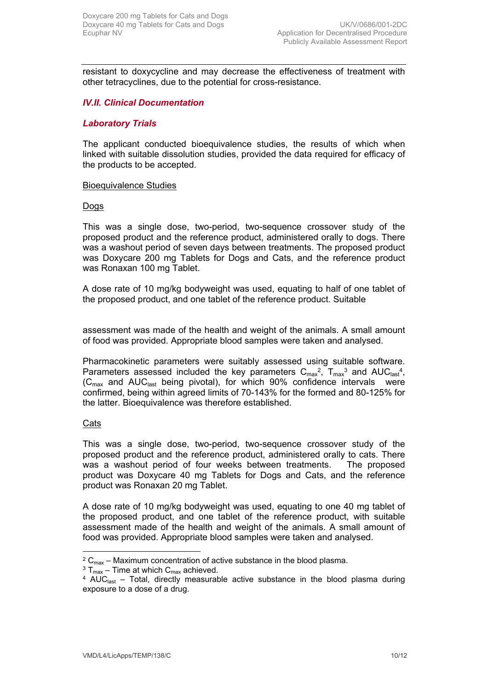resistant to doxycycline and may decrease the effectiveness of treatment with other tetracyclines, due to the potential for cross-resistance.

## *IV.II. Clinical Documentation*

#### *Laboratory Trials*

The applicant conducted bioequivalence studies, the results of which when linked with suitable dissolution studies, provided the data required for efficacy of the products to be accepted.

#### Bioequivalence Studies

#### Dogs

This was a single dose, two-period, two-sequence crossover study of the proposed product and the reference product, administered orally to dogs. There was a washout period of seven days between treatments. The proposed product was Doxycare 200 mg Tablets for Dogs and Cats, and the reference product was Ronaxan 100 mg Tablet.

A dose rate of 10 mg/kg bodyweight was used, equating to half of one tablet of the proposed product, and one tablet of the reference product. Suitable

assessment was made of the health and weight of the animals. A small amount of food was provided. Appropriate blood samples were taken and analysed.

Pharmacokinetic parameters were suitably assessed using suitable software. Parameters assessed included the key parameters  $C_{\text{max}}^2$ ,  $T_{\text{max}}^3$  and AUC<sub>last</sub><sup>4</sup>,  $(C_{\text{max}}$  and AUC<sub>last</sub> being pivotal), for which 90% confidence intervals were confirmed, being within agreed limits of 70-143% for the formed and 80-125% for the latter. Bioequivalence was therefore established.

#### **Cats**

This was a single dose, two-period, two-sequence crossover study of the proposed product and the reference product, administered orally to cats. There was a washout period of four weeks between treatments. The proposed product was Doxycare 40 mg Tablets for Dogs and Cats, and the reference product was Ronaxan 20 mg Tablet.

A dose rate of 10 mg/kg bodyweight was used, equating to one 40 mg tablet of the proposed product, and one tablet of the reference product, with suitable assessment made of the health and weight of the animals. A small amount of food was provided. Appropriate blood samples were taken and analysed.

 $2 \text{ C}_{\text{max}}$  – Maximum concentration of active substance in the blood plasma.

 $^3$  T<sub>max</sub> – Time at which C<sub>max</sub> achieved.

 $4$  AUC<sub>last</sub> – Total, directly measurable active substance in the blood plasma during exposure to a dose of a drug.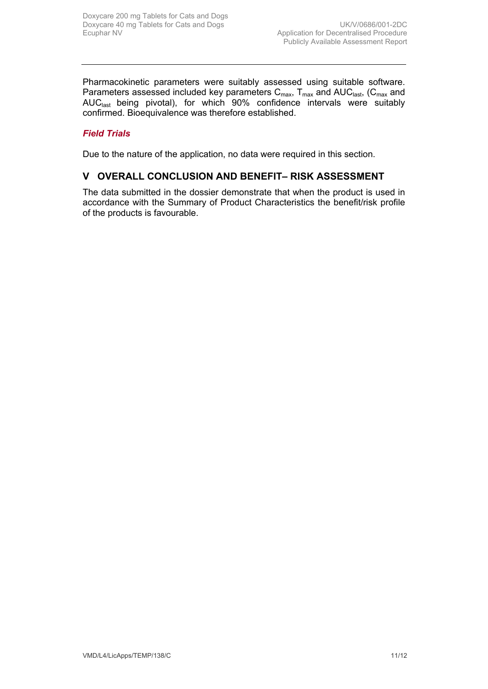Pharmacokinetic parameters were suitably assessed using suitable software. Parameters assessed included key parameters  $C_{\text{max}}$ ,  $T_{\text{max}}$  and AUC<sub>last</sub>, (C<sub>max</sub> and AUClast being pivotal), for which 90% confidence intervals were suitably confirmed. Bioequivalence was therefore established.

## *Field Trials*

Due to the nature of the application, no data were required in this section.

## **V OVERALL CONCLUSION AND BENEFIT– RISK ASSESSMENT**

The data submitted in the dossier demonstrate that when the product is used in accordance with the Summary of Product Characteristics the benefit/risk profile of the products is favourable.